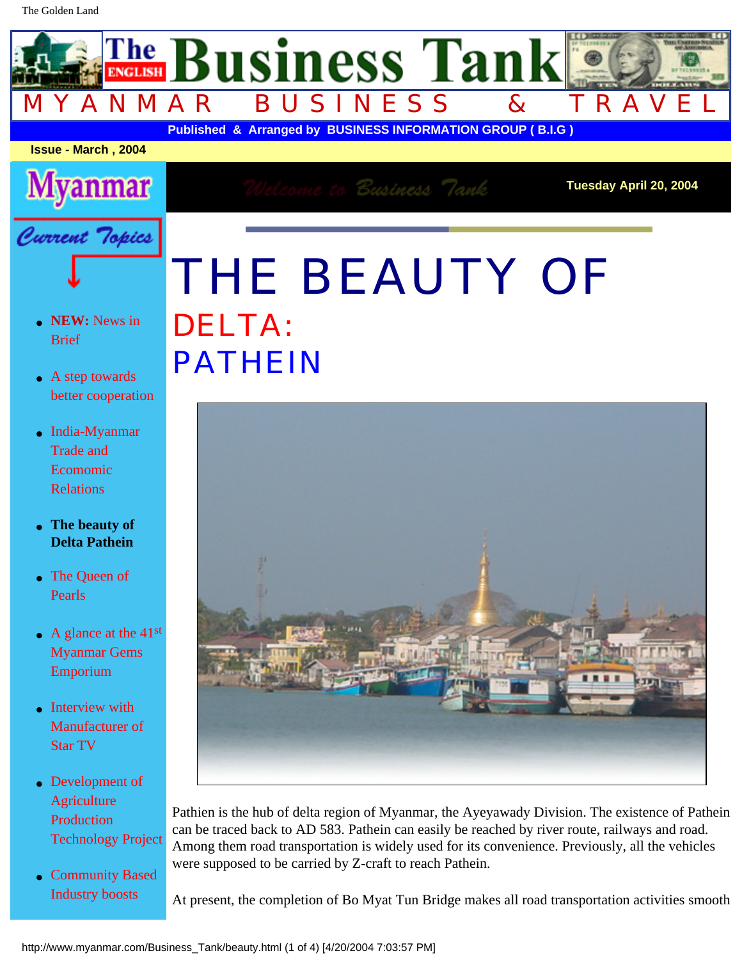## THE BEAUTY OF DELTA: PATHEIN



Pathien is the hub of delta region of Myanmar, the Ayeyawady Division. The existence of Pathein can be traced back to AD 583. Pathein can easily be reached by river route, railways and road. Among them road transportation is widely used for its convenience. Previously, all the vehicles were supposed to be carried by Z-craft to reach Pathein.

At present, the completion of Bo Myat Tun Bridge makes all road transportation activities smooth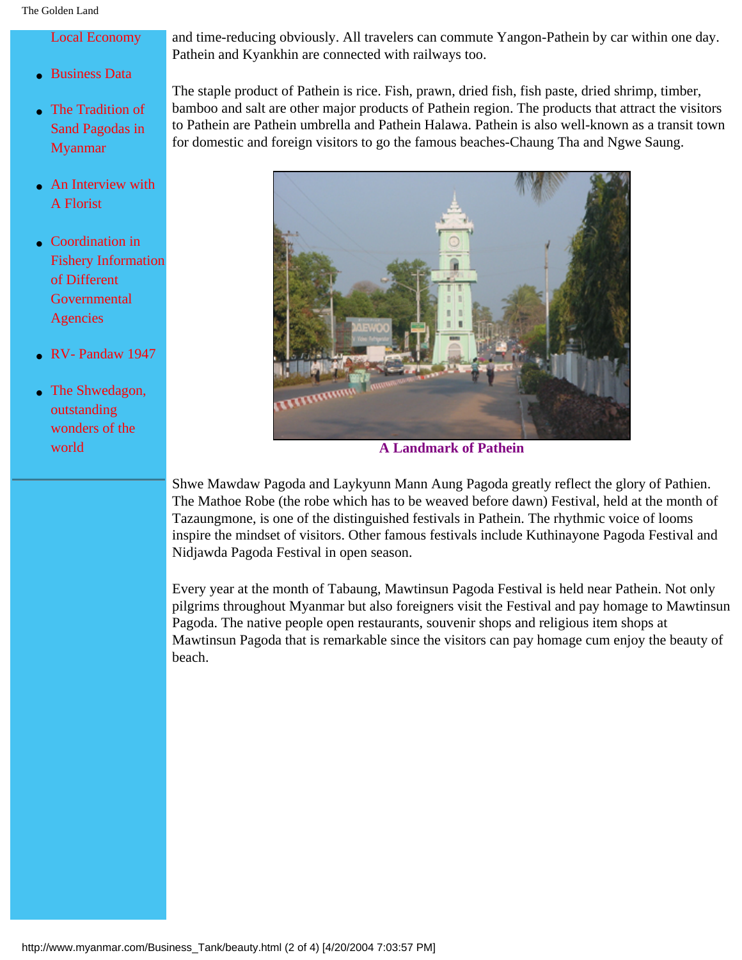and time-reducing obviously. All travelers can commute Yangon-Pathein by car within one day. Pathein and Kyankhin are connected with railways too.

The staple product of Pathein is rice. Fish, prawn, dried fish, fish paste, dried shrimp, timber, bamboo and salt are other major products of Pathein region. The products that attract the visitors to Pathein are Pathein umbrella and Pathein Halawa. Pathein is also well-known as a transit town for domestic and foreign visitors to go the famous beaches-Chaung Tha and Ngwe Saung.



[Fishery Information](http://www.myanmar.com/Business_Tank/coordination.html)

**A Landmark of Pathein**

Shwe Mawdaw Pagoda and Laykyunn Mann Aung Pagoda greatly reflect the glory of Pathien. The Mathoe Robe (the robe which has to be weaved before dawn) Festival, held at the month of Tazaungmone, is one of the distinguished festivals in Pathein. The rhythmic voice of looms inspire the mindset of visitors. Other famous festivals include Kuthinayone Pagoda Festival and Nidjawda Pagoda Festival in open season.

Every year at the month of Tabaung, Mawtinsun Pagoda Festival is held near Pathein. Not only pilgrims throughout Myanmar but also foreigners visit the Festival and pay homage to Mawtinsun Pagoda. The native people open restaurants, souvenir shops and religious item shops at Mawtinsun Pagoda that is remarkable since the visitors can pay homage cum enjoy the beauty of beach.